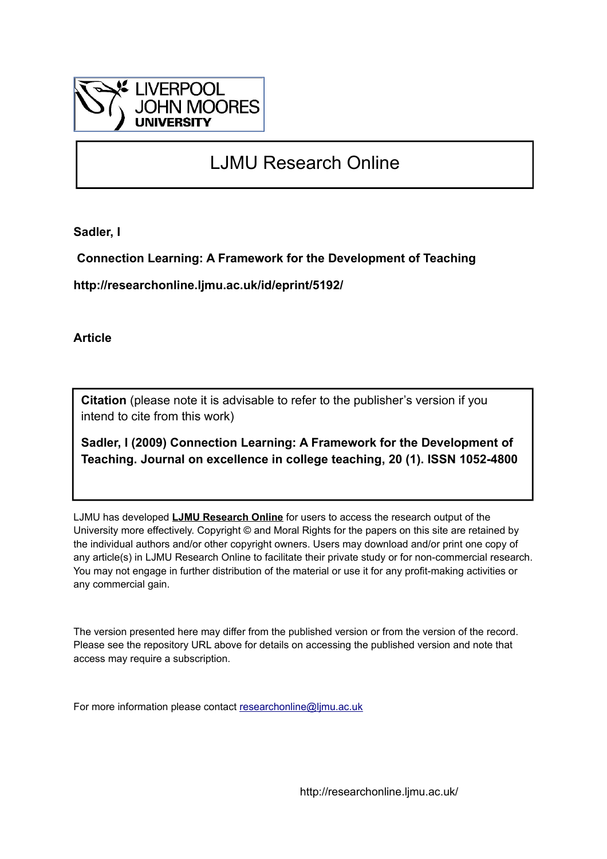

# LJMU Research Online

**Sadler, I**

 **Connection Learning: A Framework for the Development of Teaching**

**http://researchonline.ljmu.ac.uk/id/eprint/5192/**

**Article**

**Citation** (please note it is advisable to refer to the publisher's version if you intend to cite from this work)

**Sadler, I (2009) Connection Learning: A Framework for the Development of Teaching. Journal on excellence in college teaching, 20 (1). ISSN 1052-4800** 

LJMU has developed **[LJMU Research Online](http://researchonline.ljmu.ac.uk/)** for users to access the research output of the University more effectively. Copyright © and Moral Rights for the papers on this site are retained by the individual authors and/or other copyright owners. Users may download and/or print one copy of any article(s) in LJMU Research Online to facilitate their private study or for non-commercial research. You may not engage in further distribution of the material or use it for any profit-making activities or any commercial gain.

The version presented here may differ from the published version or from the version of the record. Please see the repository URL above for details on accessing the published version and note that access may require a subscription.

For more information please contact [researchonline@ljmu.ac.uk](mailto:researchonline@ljmu.ac.uk)

http://researchonline.ljmu.ac.uk/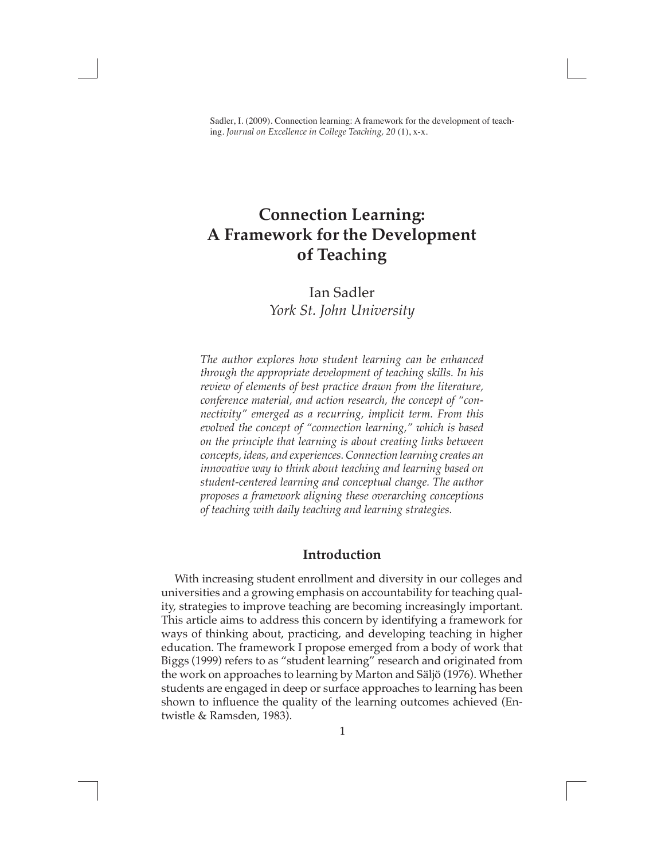Sadler, I. (2009). Connection learning: A framework for the development of teaching. *Journal on Excellence in College Teaching, 20* (1), x-x.

## **Connection Learning: A Framework for the Development of Teaching**

Ian Sadler *York St. John University*

*The author explores how student learning can be enhanced through the appropriate development of teaching skills. In his review of elements of best practice drawn from the literature, conference material, and action research, the concept of "connectivity" emerged as a recurring, implicit term. From this evolved the concept of "connection learning," which is based on the principle that learning is about creating links between concepts, ideas, and experiences. Connection learning creates an innovative way to think about teaching and learning based on student-centered learning and conceptual change. The author proposes a framework aligning these overarching conceptions of teaching with daily teaching and learning strategies.*

### **Introduction**

With increasing student enrollment and diversity in our colleges and universities and a growing emphasis on accountability for teaching quality, strategies to improve teaching are becoming increasingly important. This article aims to address this concern by identifying a framework for ways of thinking about, practicing, and developing teaching in higher education. The framework I propose emerged from a body of work that Biggs (1999) refers to as "student learning" research and originated from the work on approaches to learning by Marton and Säljö (1976). Whether students are engaged in deep or surface approaches to learning has been shown to influence the quality of the learning outcomes achieved (Entwistle & Ramsden, 1983).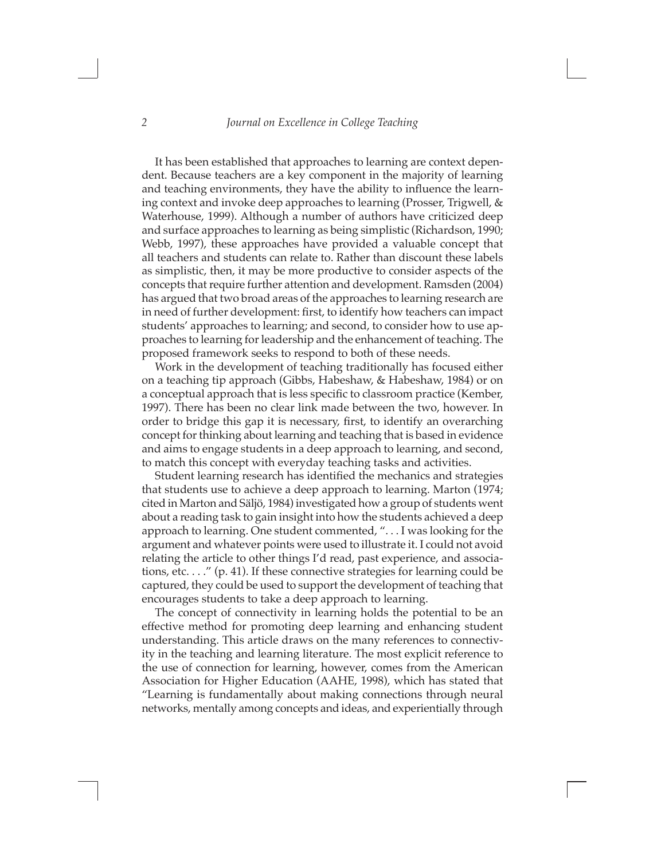It has been established that approaches to learning are context dependent. Because teachers are a key component in the majority of learning and teaching environments, they have the ability to influence the learning context and invoke deep approaches to learning (Prosser, Trigwell, & Waterhouse, 1999). Although a number of authors have criticized deep and surface approaches to learning as being simplistic (Richardson, 1990; Webb, 1997), these approaches have provided a valuable concept that all teachers and students can relate to. Rather than discount these labels as simplistic, then, it may be more productive to consider aspects of the concepts that require further attention and development. Ramsden (2004) has argued that two broad areas of the approaches to learning research are in need of further development: first, to identify how teachers can impact students' approaches to learning; and second, to consider how to use approaches to learning for leadership and the enhancement of teaching. The proposed framework seeks to respond to both of these needs.

Work in the development of teaching traditionally has focused either on a teaching tip approach (Gibbs, Habeshaw, & Habeshaw, 1984) or on a conceptual approach that is less specific to classroom practice (Kember, 1997). There has been no clear link made between the two, however. In order to bridge this gap it is necessary, first, to identify an overarching concept for thinking about learning and teaching that is based in evidence and aims to engage students in a deep approach to learning, and second, to match this concept with everyday teaching tasks and activities.

Student learning research has identified the mechanics and strategies that students use to achieve a deep approach to learning. Marton (1974; cited in Marton and Säljö, 1984) investigated how a group of students went about a reading task to gain insight into how the students achieved a deep approach to learning. One student commented, ". . . I was looking for the argument and whatever points were used to illustrate it. I could not avoid relating the article to other things I'd read, past experience, and associations, etc. . . ." (p. 41). If these connective strategies for learning could be captured, they could be used to support the development of teaching that encourages students to take a deep approach to learning.

The concept of connectivity in learning holds the potential to be an effective method for promoting deep learning and enhancing student understanding. This article draws on the many references to connectivity in the teaching and learning literature. The most explicit reference to the use of connection for learning, however, comes from the American Association for Higher Education (AAHE, 1998), which has stated that "Learning is fundamentally about making connections through neural networks, mentally among concepts and ideas, and experientially through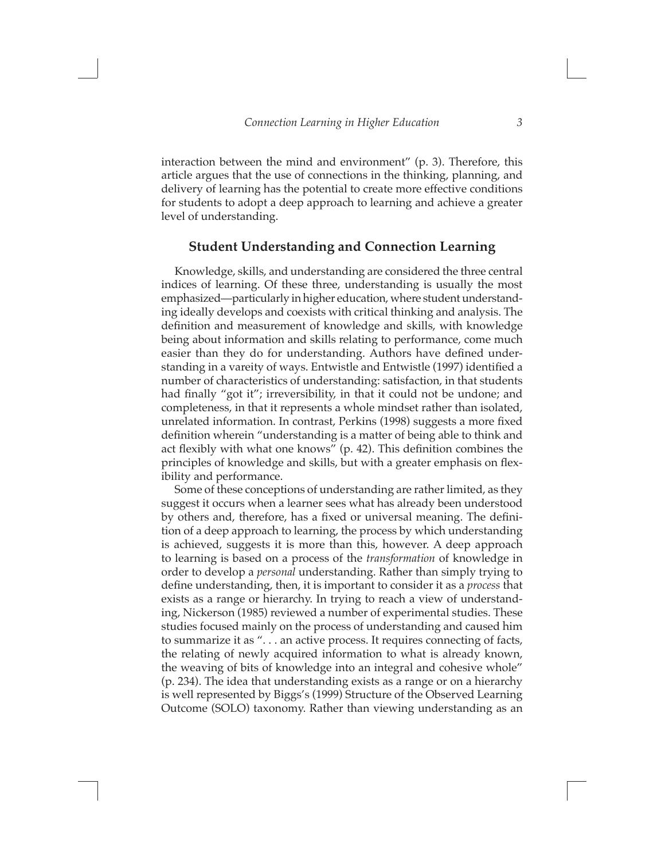interaction between the mind and environment" (p. 3). Therefore, this article argues that the use of connections in the thinking, planning, and delivery of learning has the potential to create more effective conditions for students to adopt a deep approach to learning and achieve a greater level of understanding.

### **Student Understanding and Connection Learning**

Knowledge, skills, and understanding are considered the three central indices of learning. Of these three, understanding is usually the most emphasized—particularly in higher education, where student understanding ideally develops and coexists with critical thinking and analysis. The definition and measurement of knowledge and skills, with knowledge being about information and skills relating to performance, come much easier than they do for understanding. Authors have defined understanding in a vareity of ways. Entwistle and Entwistle (1997) identified a number of characteristics of understanding: satisfaction, in that students had finally "got it"; irreversibility, in that it could not be undone; and completeness, in that it represents a whole mindset rather than isolated, unrelated information. In contrast, Perkins (1998) suggests a more fixed definition wherein "understanding is a matter of being able to think and act flexibly with what one knows" (p. 42). This definition combines the principles of knowledge and skills, but with a greater emphasis on flexibility and performance.

Some of these conceptions of understanding are rather limited, as they suggest it occurs when a learner sees what has already been understood by others and, therefore, has a fixed or universal meaning. The definition of a deep approach to learning, the process by which understanding is achieved, suggests it is more than this, however. A deep approach to learning is based on a process of the *transformation* of knowledge in order to develop a *personal* understanding. Rather than simply trying to define understanding, then, it is important to consider it as a *process* that exists as a range or hierarchy. In trying to reach a view of understanding, Nickerson (1985) reviewed a number of experimental studies. These studies focused mainly on the process of understanding and caused him to summarize it as ". . . an active process. It requires connecting of facts, the relating of newly acquired information to what is already known, the weaving of bits of knowledge into an integral and cohesive whole" (p. 234). The idea that understanding exists as a range or on a hierarchy is well represented by Biggs's (1999) Structure of the Observed Learning Outcome (SOLO) taxonomy. Rather than viewing understanding as an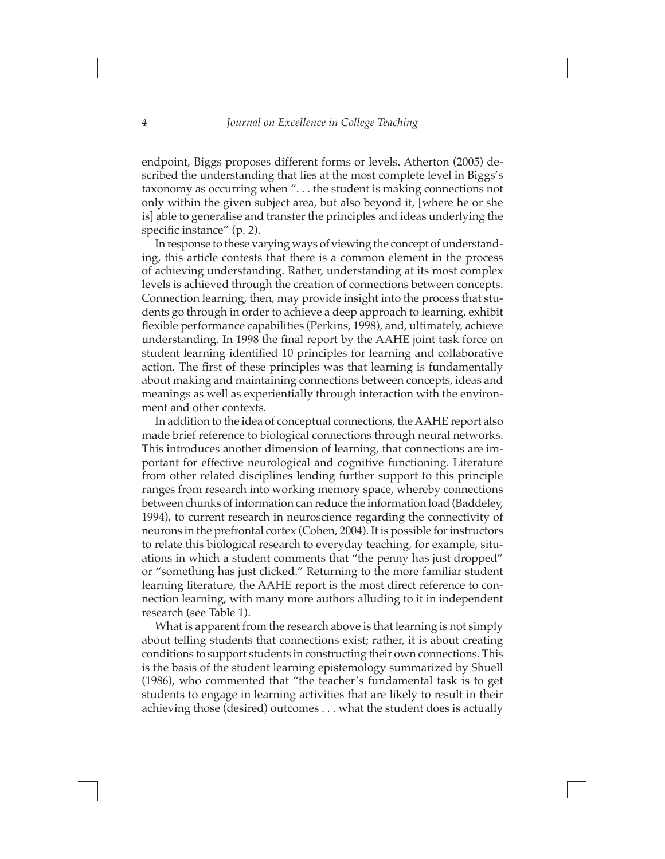endpoint, Biggs proposes different forms or levels. Atherton (2005) described the understanding that lies at the most complete level in Biggs's taxonomy as occurring when ". . . the student is making connections not only within the given subject area, but also beyond it, [where he or she is] able to generalise and transfer the principles and ideas underlying the specific instance" (p. 2).

In response to these varying ways of viewing the concept of understanding, this article contests that there is a common element in the process of achieving understanding. Rather, understanding at its most complex levels is achieved through the creation of connections between concepts. Connection learning, then, may provide insight into the process that students go through in order to achieve a deep approach to learning, exhibit flexible performance capabilities (Perkins, 1998), and, ultimately, achieve understanding. In 1998 the final report by the AAHE joint task force on student learning identified 10 principles for learning and collaborative action. The first of these principles was that learning is fundamentally about making and maintaining connections between concepts, ideas and meanings as well as experientially through interaction with the environment and other contexts.

In addition to the idea of conceptual connections, the AAHE report also made brief reference to biological connections through neural networks. This introduces another dimension of learning, that connections are important for effective neurological and cognitive functioning. Literature from other related disciplines lending further support to this principle ranges from research into working memory space, whereby connections between chunks of information can reduce the information load (Baddeley, 1994), to current research in neuroscience regarding the connectivity of neurons in the prefrontal cortex (Cohen, 2004). It is possible for instructors to relate this biological research to everyday teaching, for example, situations in which a student comments that "the penny has just dropped" or "something has just clicked." Returning to the more familiar student learning literature, the AAHE report is the most direct reference to connection learning, with many more authors alluding to it in independent research (see Table 1).

What is apparent from the research above is that learning is not simply about telling students that connections exist; rather, it is about creating conditions to support students in constructing their own connections. This is the basis of the student learning epistemology summarized by Shuell (1986), who commented that "the teacher's fundamental task is to get students to engage in learning activities that are likely to result in their achieving those (desired) outcomes . . . what the student does is actually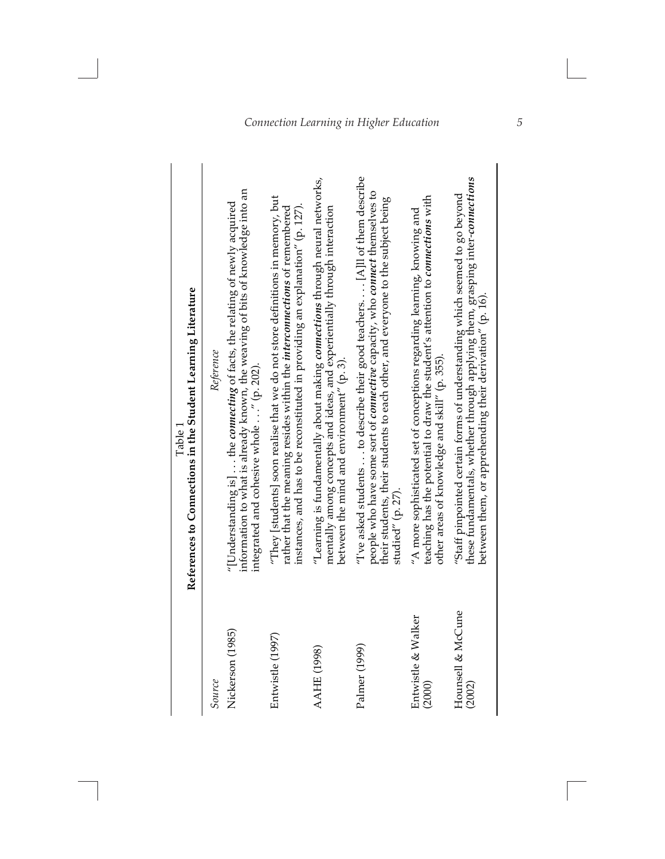|                              | References to Connections in the Student Learning Literature<br>l ab le l                                                                                                                                                                                                 |
|------------------------------|---------------------------------------------------------------------------------------------------------------------------------------------------------------------------------------------------------------------------------------------------------------------------|
| Source                       | Reference                                                                                                                                                                                                                                                                 |
| Nickerson (1985)             | information to what is already known, the weaving of bits of knowledge into an<br>"[Understanding is] $\dots$ the <i>connecting</i> of facts, the relating of newly acquired<br>integrated and cohesive whole " (p. 202).                                                 |
| Entwistle (1997)             | "They [students] soon realise that we do not store definitions in memory, but<br>instances, and has to be reconstituted in providing an explanation" (p. 127).<br>rather that the meaning resides within the <i>interconnections</i> of remembered                        |
| AAHE (1998)                  | "Learning is fundamentally about making connections through neural networks,<br>mentally among concepts and ideas, and experientially through interaction<br>between the mind and environment" (p. 3).                                                                    |
| Palmer (1999)                | "I've asked students  to describe their good teachers $[A]$ ll of them describe<br>people who have some sort of connective capacity, who connect themselves to<br>their students, their students to each other, and everyone to the subject being<br>studied" $(p. 27)$ . |
| Entwistle & Walker<br>(2000) | teaching has the potential to draw the student's attention to <i>connections</i> with<br>$^{\prime\prime}$ A more sophisticated set of conceptions regarding learning, knowing and<br>other areas of knowledge and skill" (p. 355).                                       |
| Hounsell & McCune<br>(2002)  | these fundamentals, whether through applying them, grasping inter-connections<br>"Staff pinpointed certain forms of understanding which seemed to go beyond<br>between them, or apprehending their derivation" (p. 16).                                                   |

# Table 1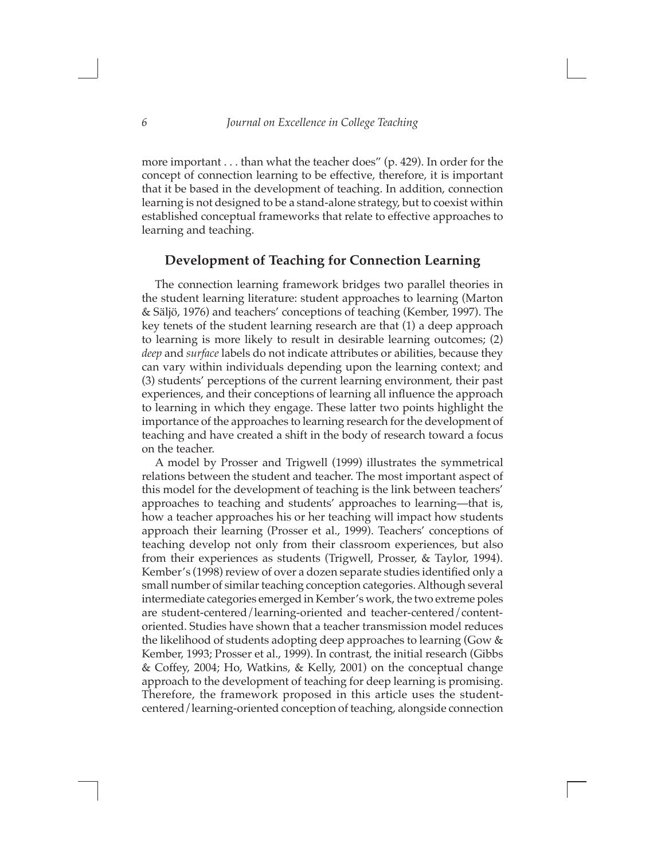more important . . . than what the teacher does" (p. 429). In order for the concept of connection learning to be effective, therefore, it is important that it be based in the development of teaching. In addition, connection learning is not designed to be a stand-alone strategy, but to coexist within established conceptual frameworks that relate to effective approaches to learning and teaching.

### **Development of Teaching for Connection Learning**

The connection learning framework bridges two parallel theories in the student learning literature: student approaches to learning (Marton & Säljö, 1976) and teachers' conceptions of teaching (Kember, 1997). The key tenets of the student learning research are that (1) a deep approach to learning is more likely to result in desirable learning outcomes; (2) *deep* and *surface* labels do not indicate attributes or abilities, because they can vary within individuals depending upon the learning context; and (3) students' perceptions of the current learning environment, their past experiences, and their conceptions of learning all influence the approach to learning in which they engage. These latter two points highlight the importance of the approaches to learning research for the development of teaching and have created a shift in the body of research toward a focus on the teacher.

A model by Prosser and Trigwell (1999) illustrates the symmetrical relations between the student and teacher. The most important aspect of this model for the development of teaching is the link between teachers' approaches to teaching and students' approaches to learning—that is, how a teacher approaches his or her teaching will impact how students approach their learning (Prosser et al., 1999). Teachers' conceptions of teaching develop not only from their classroom experiences, but also from their experiences as students (Trigwell, Prosser, & Taylor, 1994). Kember's (1998) review of over a dozen separate studies identified only a small number of similar teaching conception categories. Although several intermediate categories emerged in Kember's work, the two extreme poles are student-centered/learning-oriented and teacher-centered/contentoriented. Studies have shown that a teacher transmission model reduces the likelihood of students adopting deep approaches to learning (Gow & Kember, 1993; Prosser et al., 1999). In contrast, the initial research (Gibbs & Coffey, 2004; Ho, Watkins, & Kelly, 2001) on the conceptual change approach to the development of teaching for deep learning is promising. Therefore, the framework proposed in this article uses the studentcentered/learning-oriented conception of teaching, alongside connection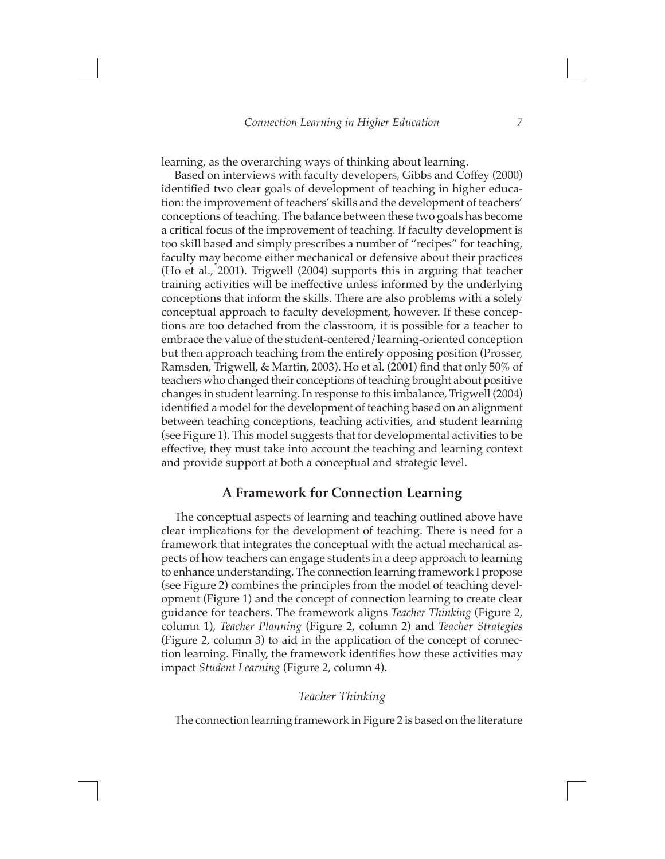learning, as the overarching ways of thinking about learning.

Based on interviews with faculty developers, Gibbs and Coffey (2000) identified two clear goals of development of teaching in higher education: the improvement of teachers' skills and the development of teachers' conceptions of teaching. The balance between these two goals has become a critical focus of the improvement of teaching. If faculty development is too skill based and simply prescribes a number of "recipes" for teaching, faculty may become either mechanical or defensive about their practices (Ho et al., 2001). Trigwell (2004) supports this in arguing that teacher training activities will be ineffective unless informed by the underlying conceptions that inform the skills. There are also problems with a solely conceptual approach to faculty development, however. If these conceptions are too detached from the classroom, it is possible for a teacher to embrace the value of the student-centered/learning-oriented conception but then approach teaching from the entirely opposing position (Prosser, Ramsden, Trigwell, & Martin, 2003). Ho et al*.* (2001) find that only 50% of teachers who changed their conceptions of teaching brought about positive changes in student learning. In response to this imbalance, Trigwell (2004) identified a model for the development of teaching based on an alignment between teaching conceptions, teaching activities, and student learning (see Figure 1). This model suggests that for developmental activities to be effective, they must take into account the teaching and learning context and provide support at both a conceptual and strategic level.

### **A Framework for Connection Learning**

The conceptual aspects of learning and teaching outlined above have clear implications for the development of teaching. There is need for a framework that integrates the conceptual with the actual mechanical aspects of how teachers can engage students in a deep approach to learning to enhance understanding. The connection learning framework I propose (see Figure 2) combines the principles from the model of teaching development (Figure 1) and the concept of connection learning to create clear guidance for teachers. The framework aligns *Teacher Thinking* (Figure 2, column 1), *Teacher Planning* (Figure 2, column 2) and *Teacher Strategies* (Figure 2, column 3) to aid in the application of the concept of connection learning. Finally, the framework identifies how these activities may impact *Student Learning* (Figure 2, column 4).

### *Teacher Thinking*

The connection learning framework in Figure 2 is based on the literature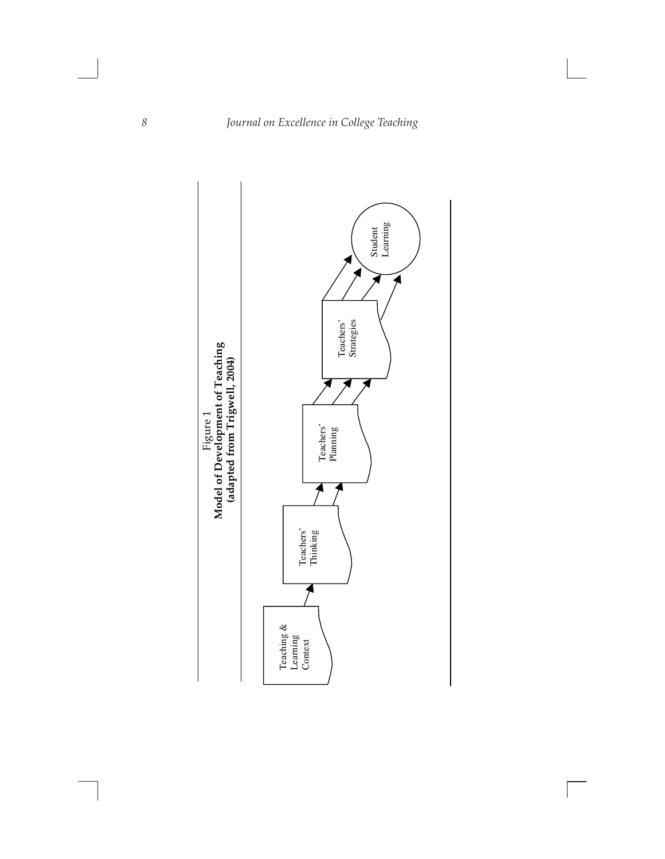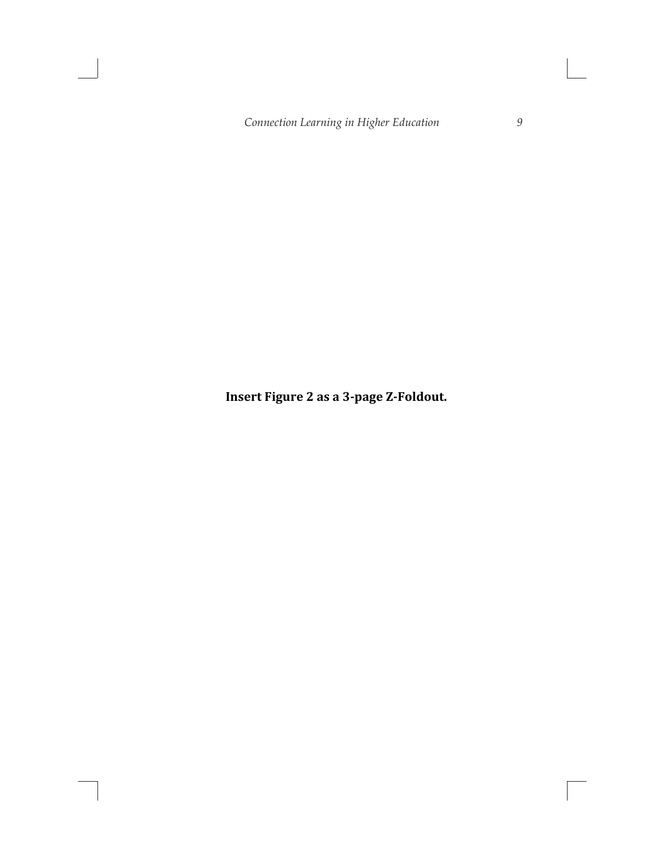*Connection Learning in Higher Education 9*

Insert Figure 2 as a 3-page Z-Foldout.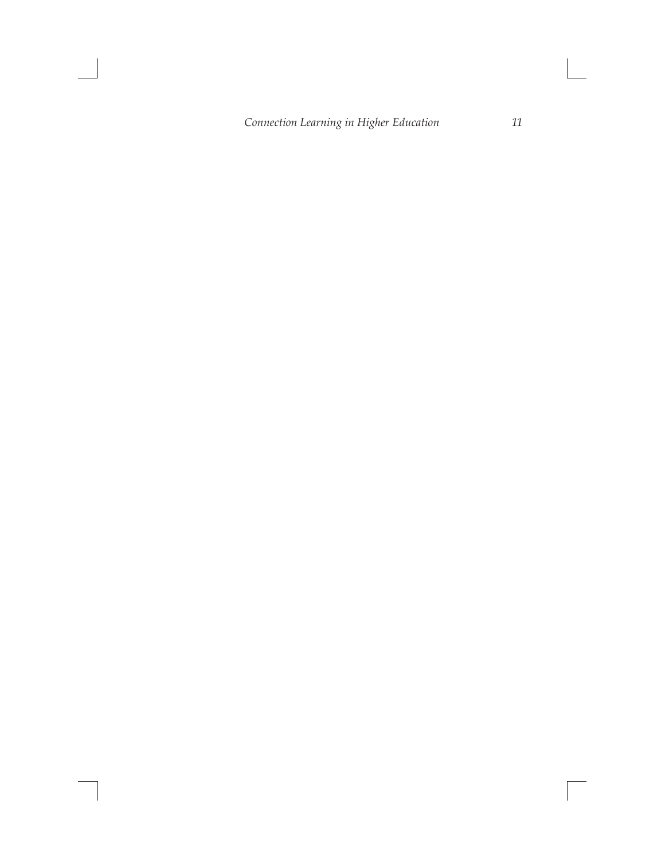*Connection Learning in Higher Education 11*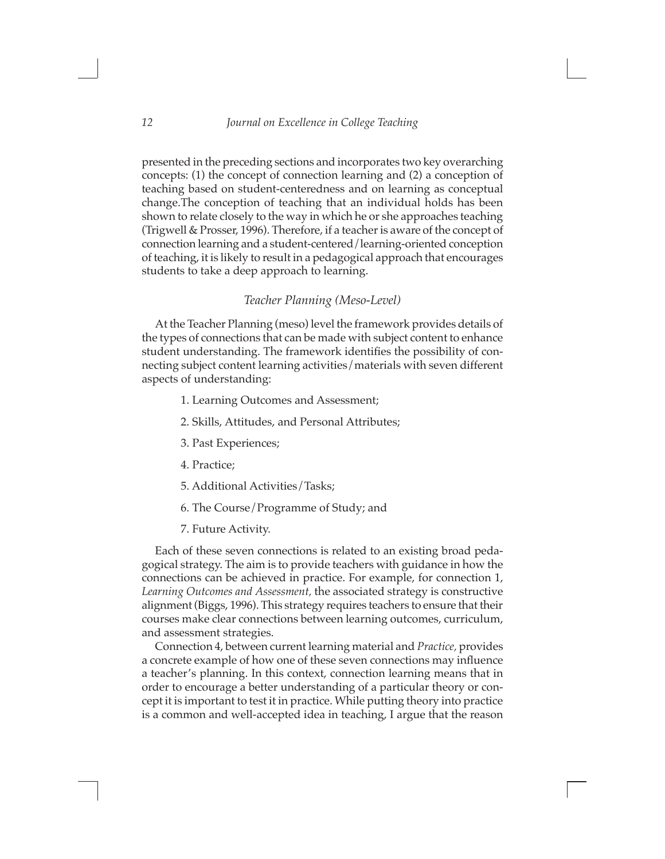presented in the preceding sections and incorporates two key overarching concepts: (1) the concept of connection learning and (2) a conception of teaching based on student-centeredness and on learning as conceptual change.The conception of teaching that an individual holds has been shown to relate closely to the way in which he or she approaches teaching (Trigwell & Prosser, 1996). Therefore, if a teacher is aware of the concept of connection learning and a student-centered/learning-oriented conception of teaching, it is likely to result in a pedagogical approach that encourages students to take a deep approach to learning.

### *Teacher Planning (Meso-Level)*

At the Teacher Planning (meso) level the framework provides details of the types of connections that can be made with subject content to enhance student understanding. The framework identifies the possibility of connecting subject content learning activities/materials with seven different aspects of understanding:

- 1. Learning Outcomes and Assessment;
- 2. Skills, Attitudes, and Personal Attributes;
- 3. Past Experiences;
- 4. Practice;
- 5. Additional Activities/Tasks;
- 6. The Course/Programme of Study; and
- 7. Future Activity.

Each of these seven connections is related to an existing broad pedagogical strategy. The aim is to provide teachers with guidance in how the connections can be achieved in practice. For example, for connection 1, *Learning Outcomes and Assessment,* the associated strategy is constructive alignment (Biggs, 1996). This strategy requires teachers to ensure that their courses make clear connections between learning outcomes, curriculum, and assessment strategies.

Connection 4, between current learning material and *Practice,* provides a concrete example of how one of these seven connections may influence a teacher's planning. In this context, connection learning means that in order to encourage a better understanding of a particular theory or concept it is important to test it in practice. While putting theory into practice is a common and well-accepted idea in teaching, I argue that the reason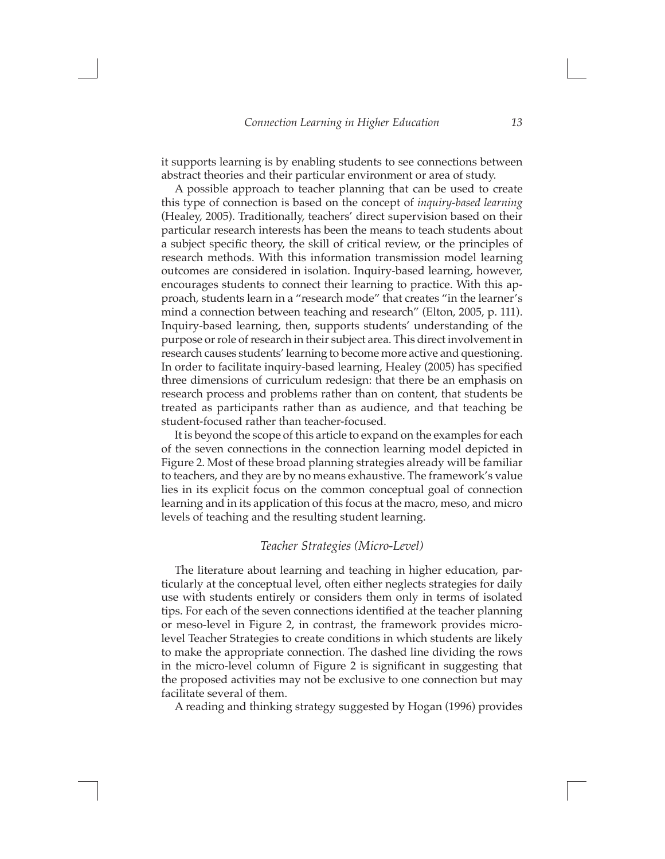it supports learning is by enabling students to see connections between abstract theories and their particular environment or area of study.

A possible approach to teacher planning that can be used to create this type of connection is based on the concept of *inquiry-based learning* (Healey, 2005). Traditionally, teachers' direct supervision based on their particular research interests has been the means to teach students about a subject specific theory, the skill of critical review, or the principles of research methods. With this information transmission model learning outcomes are considered in isolation. Inquiry-based learning, however, encourages students to connect their learning to practice. With this approach, students learn in a "research mode" that creates "in the learner's mind a connection between teaching and research" (Elton, 2005, p. 111). Inquiry-based learning, then, supports students' understanding of the purpose or role of research in their subject area. This direct involvement in research causes students' learning to become more active and questioning. In order to facilitate inquiry-based learning, Healey (2005) has specified three dimensions of curriculum redesign: that there be an emphasis on research process and problems rather than on content, that students be treated as participants rather than as audience, and that teaching be student-focused rather than teacher-focused.

It is beyond the scope of this article to expand on the examples for each of the seven connections in the connection learning model depicted in Figure 2. Most of these broad planning strategies already will be familiar to teachers, and they are by no means exhaustive. The framework's value lies in its explicit focus on the common conceptual goal of connection learning and in its application of this focus at the macro, meso, and micro levels of teaching and the resulting student learning.

### *Teacher Strategies (Micro-Level)*

The literature about learning and teaching in higher education, particularly at the conceptual level, often either neglects strategies for daily use with students entirely or considers them only in terms of isolated tips. For each of the seven connections identified at the teacher planning or meso-level in Figure 2, in contrast, the framework provides microlevel Teacher Strategies to create conditions in which students are likely to make the appropriate connection. The dashed line dividing the rows in the micro-level column of Figure 2 is significant in suggesting that the proposed activities may not be exclusive to one connection but may facilitate several of them.

A reading and thinking strategy suggested by Hogan (1996) provides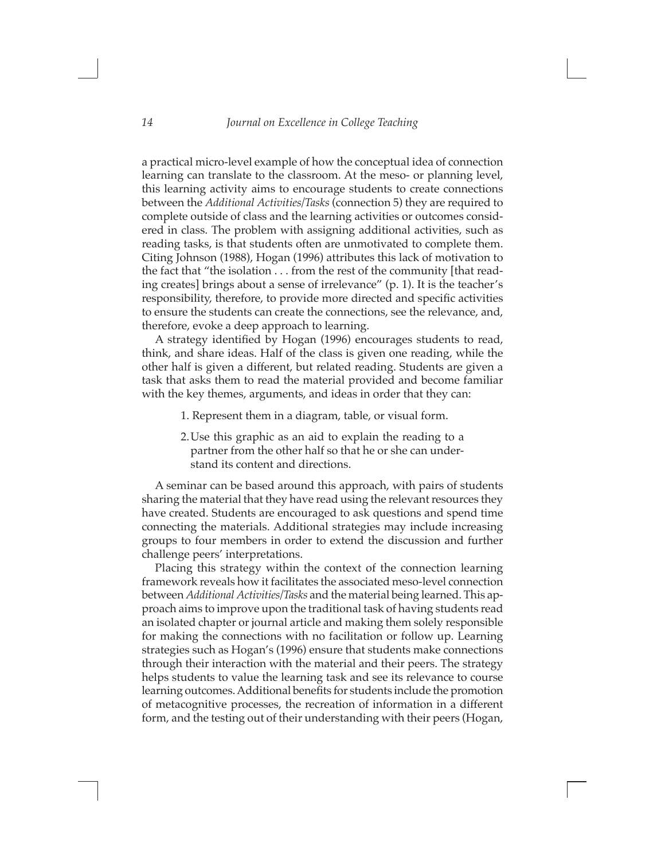a practical micro-level example of how the conceptual idea of connection learning can translate to the classroom. At the meso- or planning level, this learning activity aims to encourage students to create connections between the *Additional Activities/Tasks* (connection 5) they are required to complete outside of class and the learning activities or outcomes considered in class. The problem with assigning additional activities, such as reading tasks, is that students often are unmotivated to complete them. Citing Johnson (1988), Hogan (1996) attributes this lack of motivation to the fact that "the isolation . . . from the rest of the community [that reading creates] brings about a sense of irrelevance" (p. 1). It is the teacher's responsibility, therefore, to provide more directed and specific activities to ensure the students can create the connections, see the relevance, and, therefore, evoke a deep approach to learning.

A strategy identified by Hogan (1996) encourages students to read, think, and share ideas. Half of the class is given one reading, while the other half is given a different, but related reading. Students are given a task that asks them to read the material provided and become familiar with the key themes, arguments, and ideas in order that they can:

- 1. Represent them in a diagram, table, or visual form.
- 2.Use this graphic as an aid to explain the reading to a partner from the other half so that he or she can understand its content and directions.

A seminar can be based around this approach, with pairs of students sharing the material that they have read using the relevant resources they have created. Students are encouraged to ask questions and spend time connecting the materials. Additional strategies may include increasing groups to four members in order to extend the discussion and further challenge peers' interpretations.

Placing this strategy within the context of the connection learning framework reveals how it facilitates the associated meso-level connection between *Additional Activities/Tasks* and the material being learned. This approach aims to improve upon the traditional task of having students read an isolated chapter or journal article and making them solely responsible for making the connections with no facilitation or follow up. Learning strategies such as Hogan's (1996) ensure that students make connections through their interaction with the material and their peers. The strategy helps students to value the learning task and see its relevance to course learning outcomes. Additional benefits for students include the promotion of metacognitive processes, the recreation of information in a different form, and the testing out of their understanding with their peers (Hogan,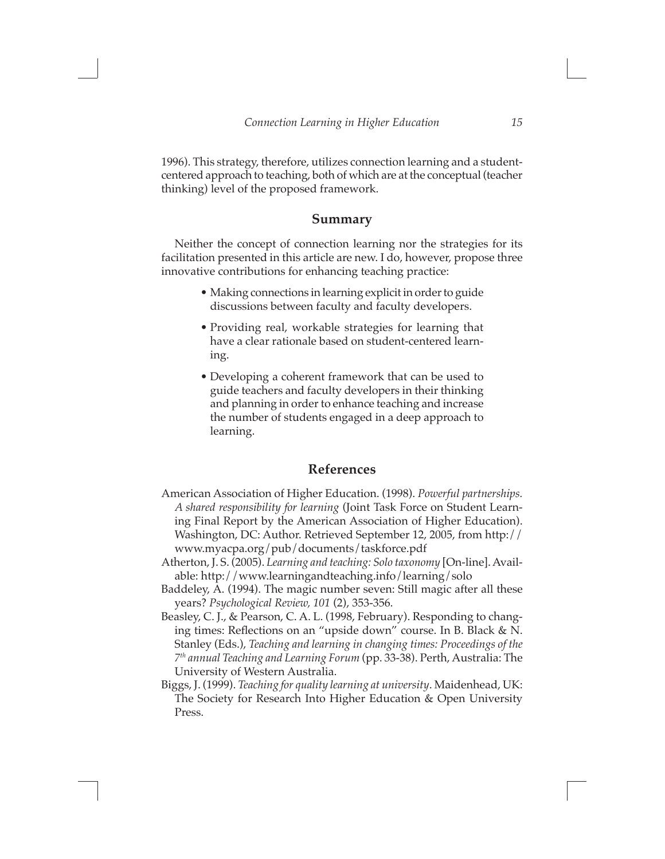1996). This strategy, therefore, utilizes connection learning and a studentcentered approach to teaching, both of which are at the conceptual (teacher thinking) level of the proposed framework.

### **Summary**

Neither the concept of connection learning nor the strategies for its facilitation presented in this article are new. I do, however, propose three innovative contributions for enhancing teaching practice:

- Making connections in learning explicit in order to guide discussions between faculty and faculty developers.
- Providing real, workable strategies for learning that have a clear rationale based on student-centered learning.
- Developing a coherent framework that can be used to guide teachers and faculty developers in their thinking and planning in order to enhance teaching and increase the number of students engaged in a deep approach to learning.

### **References**

- American Association of Higher Education. (1998). *Powerful partnerships. A shared responsibility for learning* (Joint Task Force on Student Learning Final Report by the American Association of Higher Education). Washington, DC: Author. Retrieved September 12, 2005, from http:// www.myacpa.org/pub/documents/taskforce.pdf
- Atherton, J. S. (2005). *Learning and teaching: Solo taxonomy* [On-line]. Available: http://www.learningandteaching.info/learning/solo
- Baddeley, A. (1994). The magic number seven: Still magic after all these years? *Psychological Review, 101* (2), 353-356.
- Beasley, C. J., & Pearson, C. A. L. (1998, February). Responding to changing times: Reflections on an "upside down" course. In B. Black & N. Stanley (Eds.), *Teaching and learning in changing times: Proceedings of the 7th annual Teaching and Learning Forum* (pp. 33-38). Perth, Australia: The University of Western Australia.
- Biggs, J. (1999). *Teaching for quality learning at university*. Maidenhead, UK: The Society for Research Into Higher Education & Open University Press.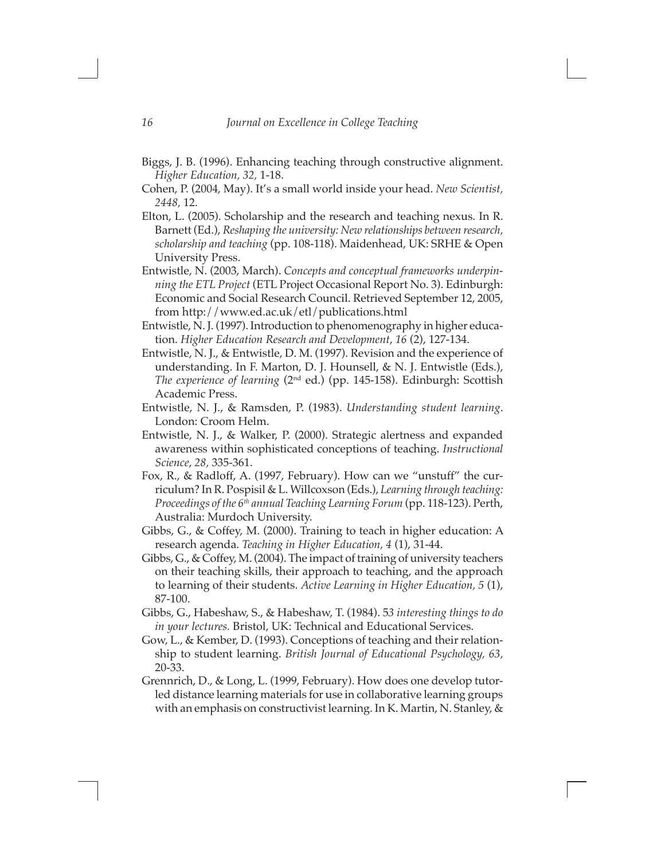- Biggs, J. B. (1996). Enhancing teaching through constructive alignment. *Higher Education, 32,* 1-18.
- Cohen, P. (2004, May). It's a small world inside your head. *New Scientist, 2448,* 12.
- Elton, L. (2005). Scholarship and the research and teaching nexus. In R. Barnett (Ed.), *Reshaping the university: New relationships between research, scholarship and teaching* (pp. 108-118). Maidenhead, UK: SRHE & Open University Press.
- Entwistle, N. (2003, March). *Concepts and conceptual frameworks underpinning the ETL Project* (ETL Project Occasional Report No. 3). Edinburgh: Economic and Social Research Council. Retrieved September 12, 2005, from http://www.ed.ac.uk/etl/publications.html
- Entwistle, N. J. (1997). Introduction to phenomenography in higher education. *Higher Education Research and Development*, *16* (2), 127-134.
- Entwistle, N. J., & Entwistle, D. M. (1997). Revision and the experience of understanding. In F. Marton, D. J. Hounsell, & N. J. Entwistle (Eds.), *The experience of learning* (2nd ed.) (pp. 145-158). Edinburgh: Scottish Academic Press.
- Entwistle, N. J., & Ramsden, P. (1983). *Understanding student learning*. London: Croom Helm.
- Entwistle, N. J., & Walker, P. (2000). Strategic alertness and expanded awareness within sophisticated conceptions of teaching. *Instructional Science*, *28,* 335-361.
- Fox, R., & Radloff, A. (1997, February). How can we "unstuff" the curriculum? In R. Pospisil & L. Willcoxson (Eds.), *Learning through teaching: Proceedings of the 6th annual Teaching Learning Forum* (pp. 118-123). Perth, Australia: Murdoch University.
- Gibbs, G., & Coffey, M. (2000). Training to teach in higher education: A research agenda. *Teaching in Higher Education, 4* (1), 31-44.
- Gibbs, G., & Coffey, M. (2004). The impact of training of university teachers on their teaching skills, their approach to teaching, and the approach to learning of their students. *Active Learning in Higher Education, 5* (1), 87-100.
- Gibbs, G., Habeshaw, S., & Habeshaw, T. (1984). 5*3 interesting things to do in your lectures.* Bristol, UK: Technical and Educational Services.
- Gow, L., & Kember, D. (1993). Conceptions of teaching and their relationship to student learning. *British Journal of Educational Psychology, 63,* 20-33.
- Grennrich, D., & Long, L. (1999, February). How does one develop tutorled distance learning materials for use in collaborative learning groups with an emphasis on constructivist learning. In K. Martin, N. Stanley, &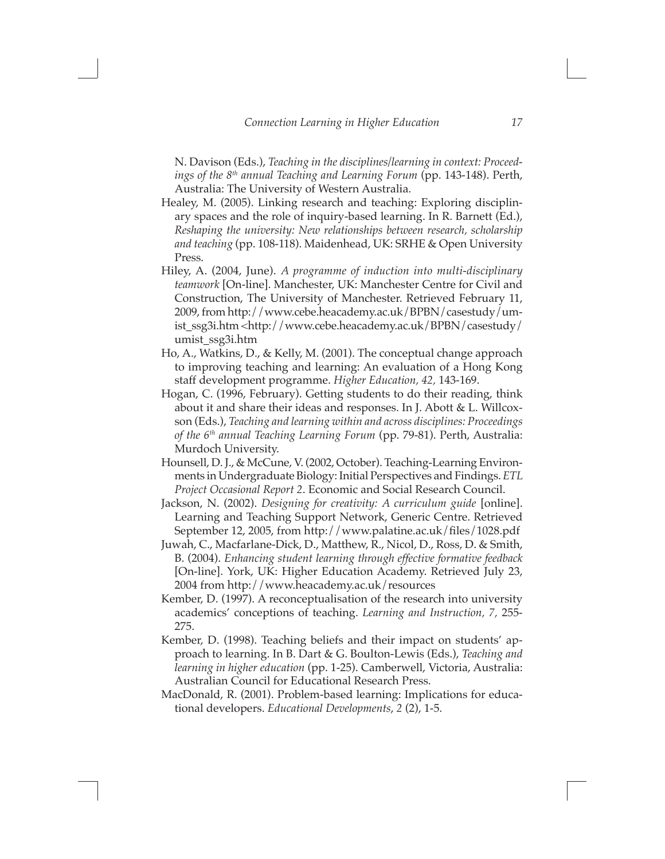N. Davison (Eds.), *Teaching in the disciplines/learning in context: Proceedings of the 8th annual Teaching and Learning Forum* (pp. 143-148). Perth, Australia: The University of Western Australia.

- Healey, M. (2005). Linking research and teaching: Exploring disciplinary spaces and the role of inquiry-based learning. In R. Barnett (Ed.), *Reshaping the university: New relationships between research, scholarship and teaching* (pp. 108-118). Maidenhead, UK: SRHE & Open University Press.
- Hiley, A. (2004, June). *A programme of induction into multi-disciplinary teamwork* [On-line]. Manchester, UK: Manchester Centre for Civil and Construction, The University of Manchester. Retrieved February 11, 2009, from http://www.cebe.heacademy.ac.uk/BPBN/casestudy/umist\_ssg3i.htm <http://www.cebe.heacademy.ac.uk/BPBN/casestudy/ umist\_ssg3i.htm
- Ho, A., Watkins, D., & Kelly, M. (2001). The conceptual change approach to improving teaching and learning: An evaluation of a Hong Kong staff development programme. *Higher Education, 42,* 143-169.
- Hogan, C. (1996, February). Getting students to do their reading, think about it and share their ideas and responses. In J. Abott & L. Willcoxson (Eds.), *Teaching and learning within and across disciplines: Proceedings of the 6th annual Teaching Learning Forum* (pp. 79-81). Perth, Australia: Murdoch University.
- Hounsell, D. J., & McCune, V. (2002, October). Teaching-Learning Environments in Undergraduate Biology: Initial Perspectives and Findings. *ETL Project Occasional Report 2*. Economic and Social Research Council.
- Jackson, N. (2002). *Designing for creativity: A curriculum guide* [online]. Learning and Teaching Support Network, Generic Centre. Retrieved September 12, 2005, from http://www.palatine.ac.uk/files/1028.pdf
- Juwah, C., Macfarlane-Dick, D., Matthew, R., Nicol, D., Ross, D. & Smith, B. (2004). *Enhancing student learning through effective formative feedback* [On-line]. York, UK: Higher Education Academy. Retrieved July 23, 2004 from http://www.heacademy.ac.uk/resources
- Kember, D. (1997). A reconceptualisation of the research into university academics' conceptions of teaching. *Learning and Instruction, 7,* 255- 275.
- Kember, D. (1998). Teaching beliefs and their impact on students' approach to learning. In B. Dart & G. Boulton-Lewis (Eds.), *Teaching and learning in higher education* (pp. 1-25). Camberwell, Victoria, Australia: Australian Council for Educational Research Press.
- MacDonald, R. (2001). Problem-based learning: Implications for educational developers. *Educational Developments*, *2* (2), 1-5.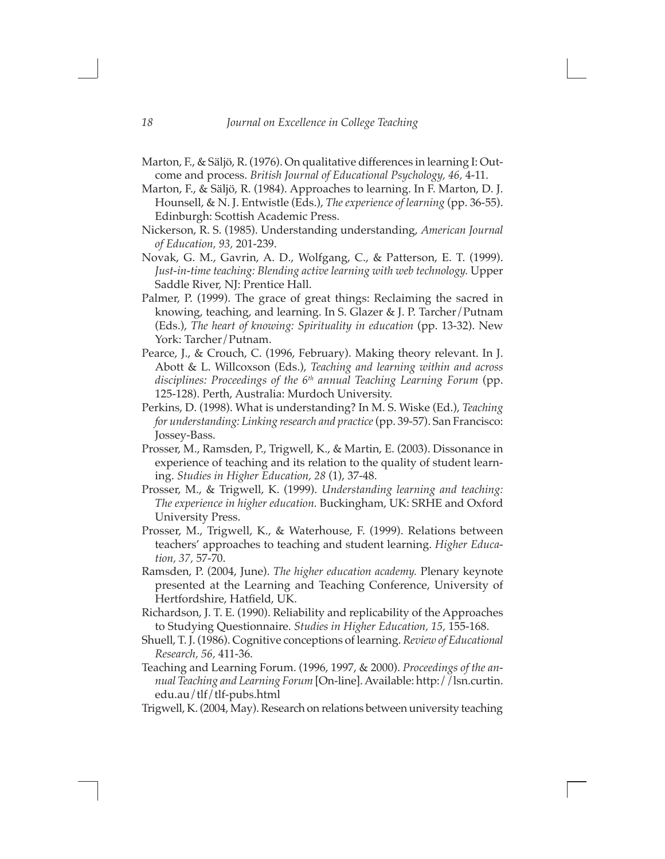- Marton, F., & Säljö, R. (1976). On qualitative differences in learning I: Outcome and process. *British Journal of Educational Psychology, 46,* 4-11.
- Marton, F., & Säljö, R. (1984). Approaches to learning. In F. Marton, D. J. Hounsell, & N. J. Entwistle (Eds.), *The experience of learning* (pp. 36-55). Edinburgh: Scottish Academic Press.
- Nickerson, R. S. (1985). Understanding understanding, *American Journal of Education, 93,* 201-239.
- Novak, G. M., Gavrin, A. D., Wolfgang, C., & Patterson, E. T. (1999). *Just-in-time teaching: Blending active learning with web technology.* Upper Saddle River, NJ: Prentice Hall.
- Palmer, P. (1999). The grace of great things: Reclaiming the sacred in knowing, teaching, and learning. In S. Glazer & J. P. Tarcher/Putnam (Eds.), *The heart of knowing: Spirituality in education* (pp. 13-32). New York: Tarcher/Putnam.
- Pearce, J., & Crouch, C. (1996, February). Making theory relevant. In J. Abott & L. Willcoxson (Eds.), *Teaching and learning within and across disciplines: Proceedings of the 6th annual Teaching Learning Forum* (pp. 125-128). Perth, Australia: Murdoch University.
- Perkins, D. (1998). What is understanding? In M. S. Wiske (Ed.), *Teaching for understanding: Linking research and practice* (pp. 39-57). San Francisco: Jossey-Bass.
- Prosser, M., Ramsden, P., Trigwell, K., & Martin, E. (2003). Dissonance in experience of teaching and its relation to the quality of student learning. *Studies in Higher Education, 28* (1), 37-48.
- Prosser, M., & Trigwell, K. (1999). *Understanding learning and teaching: The experience in higher education.* Buckingham, UK: SRHE and Oxford University Press.
- Prosser, M., Trigwell, K., & Waterhouse, F. (1999). Relations between teachers' approaches to teaching and student learning. *Higher Education, 37,* 57-70.
- Ramsden, P. (2004, June). *The higher education academy.* Plenary keynote presented at the Learning and Teaching Conference, University of Hertfordshire, Hatfield, UK.
- Richardson, J. T. E. (1990). Reliability and replicability of the Approaches to Studying Questionnaire. *Studies in Higher Education, 15,* 155-168.
- Shuell, T. J. (1986). Cognitive conceptions of learning. *Review of Educational Research, 56,* 411-36.
- Teaching and Learning Forum. (1996, 1997, & 2000). *Proceedings of the annual Teaching and Learning Forum* [On-line]. Available: http://lsn.curtin. edu.au/tlf/tlf-pubs.html
- Trigwell, K. (2004, May). Research on relations between university teaching